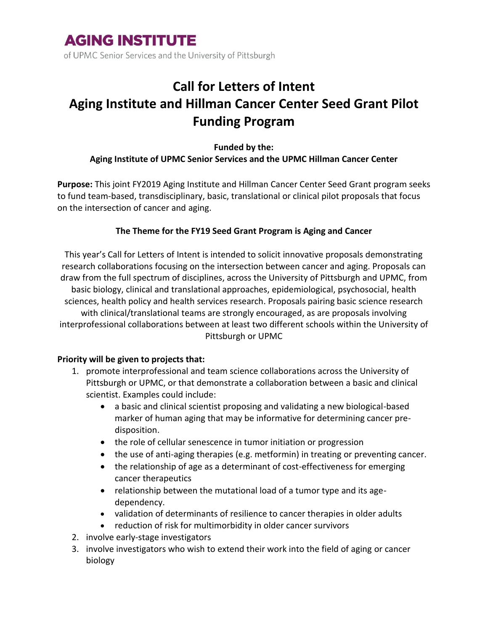

of UPMC Senior Services and the University of Pittsburgh

## **Call for Letters of Intent Aging Institute and Hillman Cancer Center Seed Grant Pilot Funding Program**

### **Funded by the: Aging Institute of UPMC Senior Services and the UPMC Hillman Cancer Center**

**Purpose:** This joint FY2019 Aging Institute and Hillman Cancer Center Seed Grant program seeks to fund team-based, transdisciplinary, basic, translational or clinical pilot proposals that focus on the intersection of cancer and aging.

### **The Theme for the FY19 Seed Grant Program is Aging and Cancer**

This year's Call for Letters of Intent is intended to solicit innovative proposals demonstrating research collaborations focusing on the intersection between cancer and aging. Proposals can draw from the full spectrum of disciplines, across the University of Pittsburgh and UPMC, from basic biology, clinical and translational approaches, epidemiological, psychosocial, health sciences, health policy and health services research. Proposals pairing basic science research with clinical/translational teams are strongly encouraged, as are proposals involving interprofessional collaborations between at least two different schools within the University of Pittsburgh or UPMC

#### **Priority will be given to projects that:**

- 1. promote interprofessional and team science collaborations across the University of Pittsburgh or UPMC, or that demonstrate a collaboration between a basic and clinical scientist. Examples could include:
	- a basic and clinical scientist proposing and validating a new biological-based marker of human aging that may be informative for determining cancer predisposition.
	- the role of cellular senescence in tumor initiation or progression
	- the use of anti-aging therapies (e.g. metformin) in treating or preventing cancer.
	- the relationship of age as a determinant of cost-effectiveness for emerging cancer therapeutics
	- relationship between the mutational load of a tumor type and its agedependency.
	- validation of determinants of resilience to cancer therapies in older adults
	- reduction of risk for multimorbidity in older cancer survivors
- 2. involve early-stage investigators
- 3. involve investigators who wish to extend their work into the field of aging or cancer biology